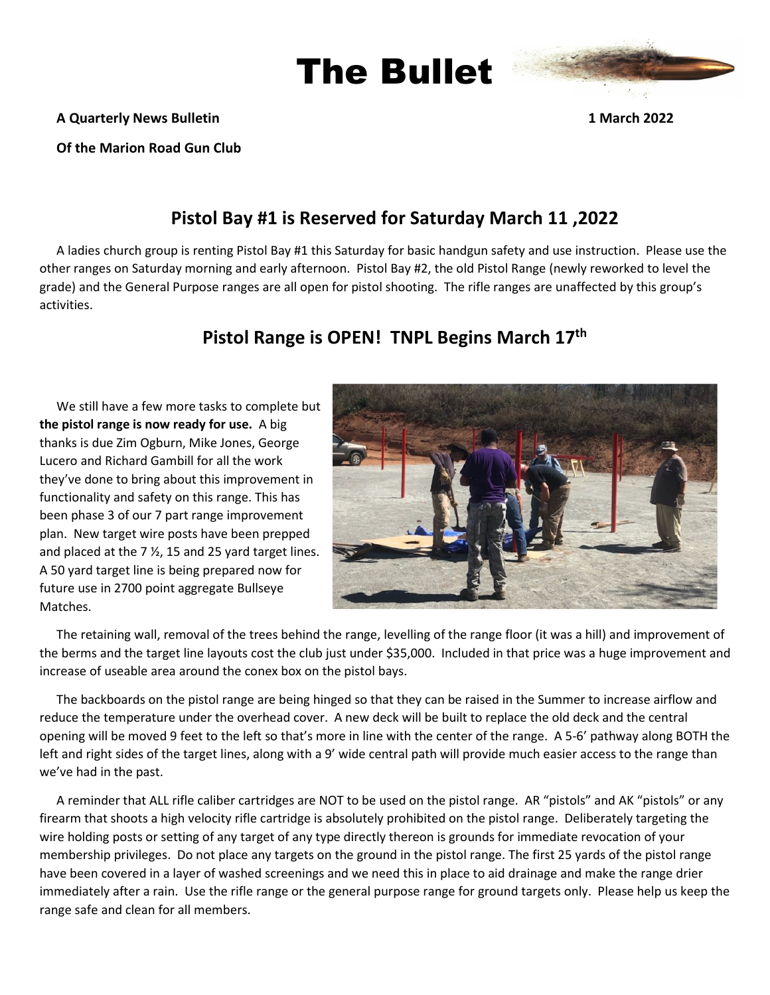

#### **A Quarterly News Bulletin 1 March 2022**

**Of the Marion Road Gun Club** 

## **Pistol Bay #1 is Reserved for Saturday March 11 ,2022**

The Bullet

A ladies church group is renting Pistol Bay #1 this Saturday for basic handgun safety and use instruction. Please use the other ranges on Saturday morning and early afternoon. Pistol Bay #2, the old Pistol Range (newly reworked to level the grade) and the General Purpose ranges are all open for pistol shooting. The rifle ranges are unaffected by this group's activities.

### **Pistol Range is OPEN! TNPL Begins March 17th**

We still have a few more tasks to complete but **the pistol range is now ready for use.** A big thanks is due Zim Ogburn, Mike Jones, George Lucero and Richard Gambill for all the work they've done to bring about this improvement in functionality and safety on this range. This has been phase 3 of our 7 part range improvement plan. New target wire posts have been prepped and placed at the 7 ½, 15 and 25 yard target lines. A 50 yard target line is being prepared now for future use in 2700 point aggregate Bullseye Matches.



The retaining wall, removal of the trees behind the range, levelling of the range floor (it was a hill) and improvement of the berms and the target line layouts cost the club just under \$35,000. Included in that price was a huge improvement and increase of useable area around the conex box on the pistol bays.

The backboards on the pistol range are being hinged so that they can be raised in the Summer to increase airflow and reduce the temperature under the overhead cover. A new deck will be built to replace the old deck and the central opening will be moved 9 feet to the left so that's more in line with the center of the range. A 5-6' pathway along BOTH the left and right sides of the target lines, along with a 9' wide central path will provide much easier access to the range than we've had in the past.

A reminder that ALL rifle caliber cartridges are NOT to be used on the pistol range. AR "pistols" and AK "pistols" or any firearm that shoots a high velocity rifle cartridge is absolutely prohibited on the pistol range. Deliberately targeting the wire holding posts or setting of any target of any type directly thereon is grounds for immediate revocation of your membership privileges. Do not place any targets on the ground in the pistol range. The first 25 yards of the pistol range have been covered in a layer of washed screenings and we need this in place to aid drainage and make the range drier immediately after a rain. Use the rifle range or the general purpose range for ground targets only. Please help us keep the range safe and clean for all members.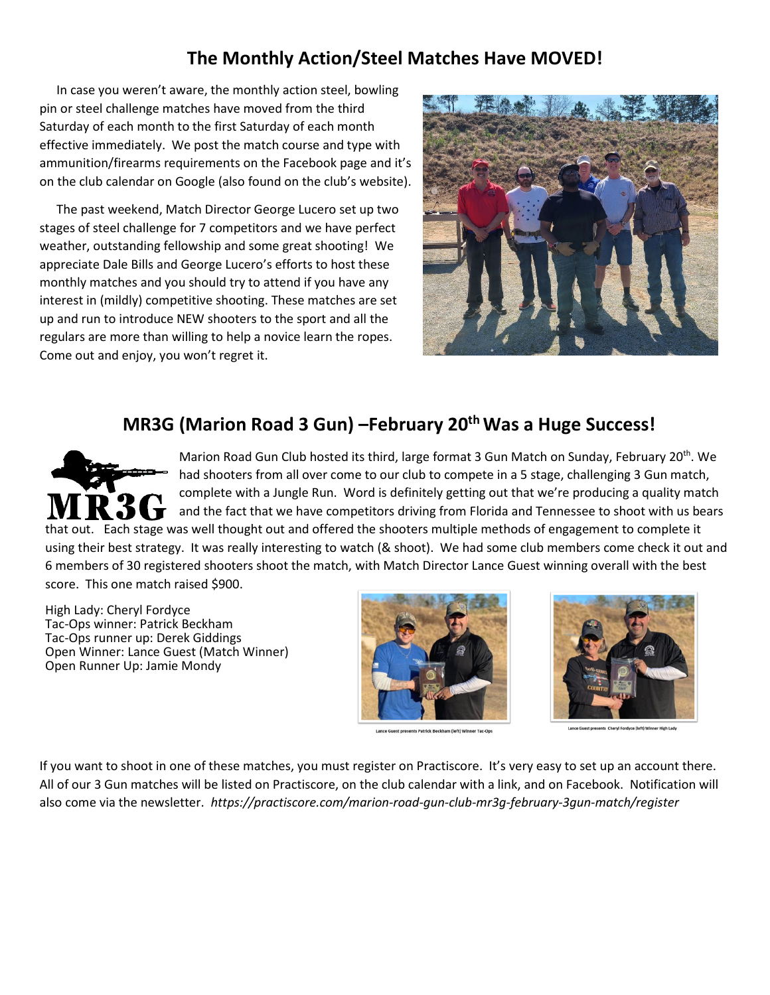# **The Monthly Action/Steel Matches Have MOVED!**

In case you weren't aware, the monthly action steel, bowling pin or steel challenge matches have moved from the third Saturday of each month to the first Saturday of each month effective immediately. We post the match course and type with ammunition/firearms requirements on the Facebook page and it's on the club calendar on Google (also found on the club's website).

The past weekend, Match Director George Lucero set up two stages of steel challenge for 7 competitors and we have perfect weather, outstanding fellowship and some great shooting! We appreciate Dale Bills and George Lucero's efforts to host these monthly matches and you should try to attend if you have any interest in (mildly) competitive shooting. These matches are set up and run to introduce NEW shooters to the sport and all the regulars are more than willing to help a novice learn the ropes. Come out and enjoy, you won't regret it.



## **MR3G (Marion Road 3 Gun) –February 20th Was a Huge Success!**



Marion Road Gun Club hosted its third, large format 3 Gun Match on Sunday, February 20<sup>th</sup>. We had shooters from all over come to our club to compete in a 5 stage, challenging 3 Gun match, complete with a Jungle Run. Word is definitely getting out that we're producing a quality match and the fact that we have competitors driving from Florida and Tennessee to shoot with us bears that out. Each stage was well thought out and offered the shooters multiple methods of engagement to complete it

using their best strategy. It was really interesting to watch (& shoot). We had some club members come check it out and 6 members of 30 registered shooters shoot the match, with Match Director Lance Guest winning overall with the best score. This one match raised \$900.

High Lady: Cheryl Fordyce Tac-Ops winner: Patrick Beckham Tac-Ops runner up: Derek Giddings Open Winner: Lance Guest (Match Winner) Open Runner Up: Jamie Mondy



Lance Guest presents Patrick Beckham (left) Winner Tac-Op



If you want to shoot in one of these matches, you must register on Practiscore. It's very easy to set up an account there. All of our 3 Gun matches will be listed on Practiscore, on the club calendar with a link, and on Facebook. Notification will also come via the newsletter. *https://practiscore.com/marion-road-gun-club-mr3g-february-3gun-match/register*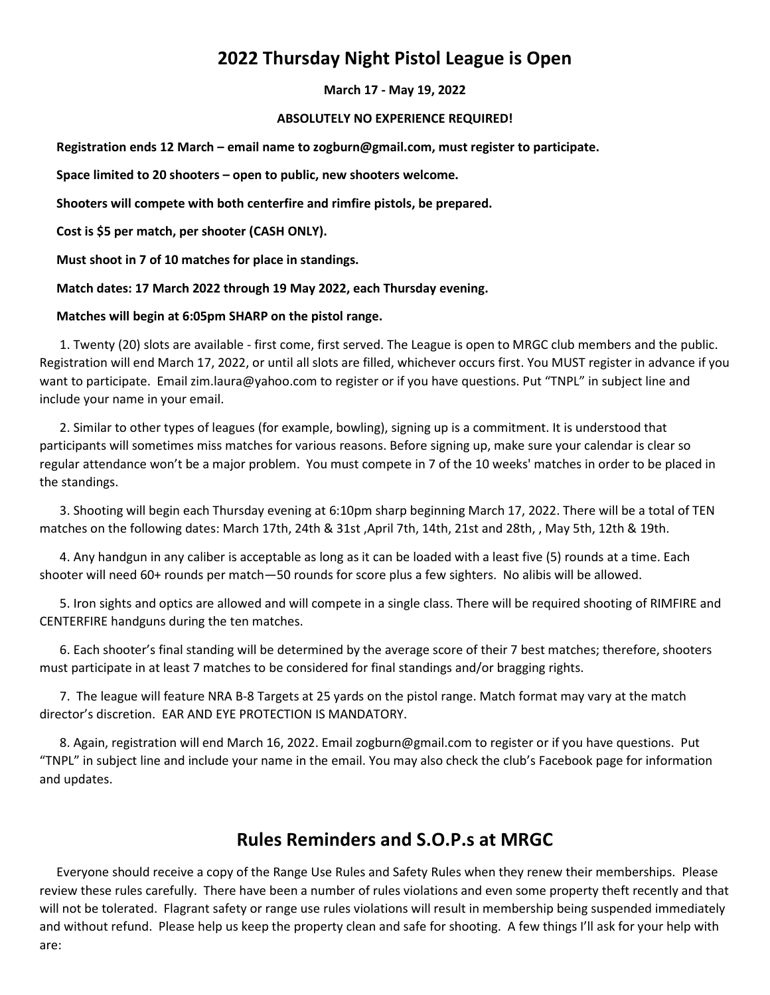# **2022 Thursday Night Pistol League is Open**

#### **March 17 - May 19, 2022**

#### **ABSOLUTELY NO EXPERIENCE REQUIRED!**

**Registration ends 12 March – email name to zogburn@gmail.com, must register to participate.** 

**Space limited to 20 shooters – open to public, new shooters welcome.** 

**Shooters will compete with both centerfire and rimfire pistols, be prepared.** 

**Cost is \$5 per match, per shooter (CASH ONLY).** 

**Must shoot in 7 of 10 matches for place in standings.** 

**Match dates: 17 March 2022 through 19 May 2022, each Thursday evening.** 

#### **Matches will begin at 6:05pm SHARP on the pistol range.**

 1. Twenty (20) slots are available - first come, first served. The League is open to MRGC club members and the public. Registration will end March 17, 2022, or until all slots are filled, whichever occurs first. You MUST register in advance if you want to participate. Email zim.laura@yahoo.com to register or if you have questions. Put "TNPL" in subject line and include your name in your email.

 2. Similar to other types of leagues (for example, bowling), signing up is a commitment. It is understood that participants will sometimes miss matches for various reasons. Before signing up, make sure your calendar is clear so regular attendance won't be a major problem. You must compete in 7 of the 10 weeks' matches in order to be placed in the standings.

 3. Shooting will begin each Thursday evening at 6:10pm sharp beginning March 17, 2022. There will be a total of TEN matches on the following dates: March 17th, 24th & 31st ,April 7th, 14th, 21st and 28th, , May 5th, 12th & 19th.

 4. Any handgun in any caliber is acceptable as long as it can be loaded with a least five (5) rounds at a time. Each shooter will need 60+ rounds per match—50 rounds for score plus a few sighters. No alibis will be allowed.

 5. Iron sights and optics are allowed and will compete in a single class. There will be required shooting of RIMFIRE and CENTERFIRE handguns during the ten matches.

 6. Each shooter's final standing will be determined by the average score of their 7 best matches; therefore, shooters must participate in at least 7 matches to be considered for final standings and/or bragging rights.

 7. The league will feature NRA B-8 Targets at 25 yards on the pistol range. Match format may vary at the match director's discretion. EAR AND EYE PROTECTION IS MANDATORY.

 8. Again, registration will end March 16, 2022. Email zogburn@gmail.com to register or if you have questions. Put "TNPL" in subject line and include your name in the email. You may also check the club's Facebook page for information and updates.

### **Rules Reminders and S.O.P.s at MRGC**

Everyone should receive a copy of the Range Use Rules and Safety Rules when they renew their memberships. Please review these rules carefully. There have been a number of rules violations and even some property theft recently and that will not be tolerated. Flagrant safety or range use rules violations will result in membership being suspended immediately and without refund. Please help us keep the property clean and safe for shooting. A few things I'll ask for your help with are: